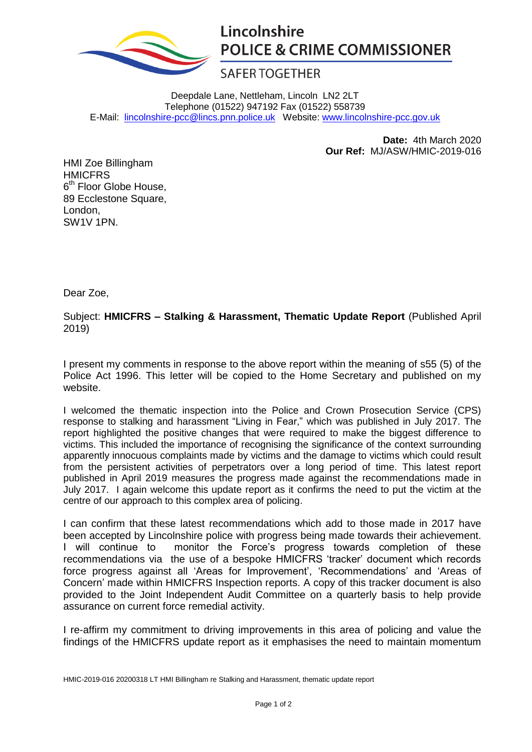

## Lincolnshire **POLICE & CRIME COMMISSIONER**

## **SAFER TOGETHER**

Deepdale Lane, Nettleham, Lincoln LN2 2LT Telephone (01522) 947192 Fax (01522) 558739 E-Mail: [lincolnshire-pcc@lincs.pnn.police.uk](mailto:lincolnshire-pcc@lincs.pnn.police.uk) Website: [www.lincolnshire-pcc.gov.uk](http://www.lincolnshire-pcc.gov.uk/)

> **Date:** 4th March 2020 **Our Ref:** MJ/ASW/HMIC-2019-016

HMI Zoe Billingham HMICFRS 6<sup>th</sup> Floor Globe House, 89 Ecclestone Square, London, SW1V 1PN.

Dear Zoe,

Subject: **HMICFRS – Stalking & Harassment, Thematic Update Report** (Published April 2019)

I present my comments in response to the above report within the meaning of s55 (5) of the Police Act 1996. This letter will be copied to the Home Secretary and published on my website.

I welcomed the thematic inspection into the Police and Crown Prosecution Service (CPS) response to stalking and harassment "Living in Fear," which was published in July 2017. The report highlighted the positive changes that were required to make the biggest difference to victims. This included the importance of recognising the significance of the context surrounding apparently innocuous complaints made by victims and the damage to victims which could result from the persistent activities of perpetrators over a long period of time. This latest report published in April 2019 measures the progress made against the recommendations made in July 2017. I again welcome this update report as it confirms the need to put the victim at the centre of our approach to this complex area of policing.

I can confirm that these latest recommendations which add to those made in 2017 have been accepted by Lincolnshire police with progress being made towards their achievement. I will continue to monitor the Force's progress towards completion of these recommendations via the use of a bespoke HMICFRS 'tracker' document which records force progress against all 'Areas for Improvement', 'Recommendations' and 'Areas of Concern' made within HMICFRS Inspection reports. A copy of this tracker document is also provided to the Joint Independent Audit Committee on a quarterly basis to help provide assurance on current force remedial activity.

I re-affirm my commitment to driving improvements in this area of policing and value the findings of the HMICFRS update report as it emphasises the need to maintain momentum